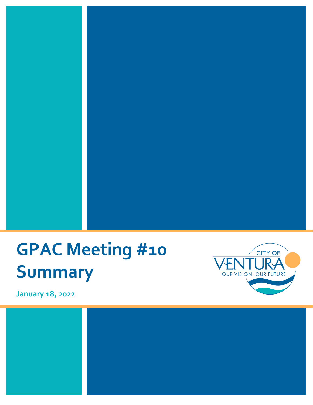# **GPAC Meeting #10 Summary**



**January 18, 2022**

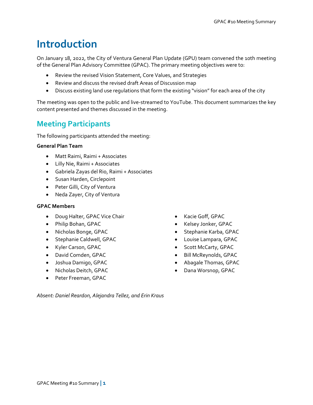## **Introduction**

On January 18, 2022, the City of Ventura General Plan Update (GPU) team convened the 10th meeting of the General Plan Advisory Committee (GPAC). The primary meeting objectives were to:

- Review the revised Vision Statement, Core Values, and Strategies
- Review and discuss the revised draft Areas of Discussion map
- Discuss existing land use regulations that form the existing "vision" for each area of the city

The meeting was open to the public and live-streamed to YouTube. This document summarizes the key content presented and themes discussed in the meeting.

### **Meeting Participants**

The following participants attended the meeting:

#### **General Plan Team**

- Matt Raimi, Raimi + Associates
- Lilly Nie, Raimi + Associates
- Gabriela Zayas del Rio, Raimi + Associates
- Susan Harden, Circlepoint
- Peter Gilli, City of Ventura
- Neda Zayer, City of Ventura

#### **GPAC Members**

- Doug Halter, GPAC Vice Chair
- Philip Bohan, GPAC
- Nicholas Bonge, GPAC
- Stephanie Caldwell, GPAC
- Kyler Carson, GPAC
- David Comden, GPAC
- Joshua Damigo, GPAC
- Nicholas Deitch, GPAC
- Peter Freeman, GPAC
- Kacie Goff, GPAC
- Kelsey Jonker, GPAC
- Stephanie Karba, GPAC
- Louise Lampara, GPAC
- Scott McCarty, GPAC
- Bill McReynolds, GPAC
- Abagale Thomas, GPAC
- Dana Worsnop, GPAC

*Absent: Daniel Reardon, Alejandra Tellez, and Erin Kraus*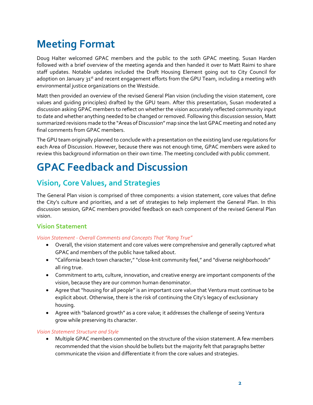# **Meeting Format**

Doug Halter welcomed GPAC members and the public to the 10th GPAC meeting. Susan Harden followed with a brief overview of the meeting agenda and then handed it over to Matt Raimi to share staff updates. Notable updates included the Draft Housing Element going out to City Council for adoption on January 31<sup>st</sup> and recent engagement efforts from the GPU Team, including a meeting with environmental justice organizations on the Westside.

Matt then provided an overview of the revised General Plan vision (including the vision statement, core values and guiding principles) drafted by the GPU team. After this presentation, Susan moderated a discussion asking GPAC members to reflect on whether the vision accurately reflected community input to date and whether anything needed to be changed or removed. Following this discussion session, Matt summarized revisions made to the "Areas of Discussion" map since the last GPAC meeting and noted any final comments from GPAC members.

The GPU team originally planned to conclude with a presentation on the existing land use regulations for each Area of Discussion. However, because there was not enough time, GPAC members were asked to review this background information on their own time. The meeting concluded with public comment.

# **GPAC Feedback and Discussion**

### **Vision, Core Values, and Strategies**

The General Plan vision is comprised of three components: a vision statement, core values that define the City's culture and priorities, and a set of strategies to help implement the General Plan. In this discussion session, GPAC members provided feedback on each component of the revised General Plan vision.

#### **Vision Statement**

#### *Vision Statement - Overall Comments and Concepts That "Rang True"*

- Overall, the vision statement and core values were comprehensive and generally captured what GPAC and members of the public have talked about.
- "California beach town character," "close-knit community feel," and "diverse neighborhoods" all ring true.
- Commitment to arts, culture, innovation, and creative energy are important components of the vision, because they are our common human denominator.
- Agree that "housing for all people" is an important core value that Ventura must continue to be explicit about. Otherwise, there is the risk of continuing the City's legacy of exclusionary housing.
- Agree with "balanced growth" as a core value; it addresses the challenge of seeing Ventura grow while preserving its character.

#### *Vision Statement Structure and Style*

• Multiple GPAC members commented on the structure of the vision statement. A few members recommended that the vision should be bullets but the majority felt that paragraphs better communicate the vision and differentiate it from the core values and strategies.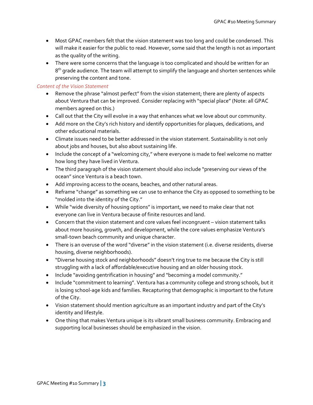- Most GPAC members felt that the vision statement was too long and could be condensed. This will make it easier for the public to read. However, some said that the length is not as important as the quality of the writing.
- There were some concerns that the language is too complicated and should be written for an  $8<sup>th</sup>$  grade audience. The team will attempt to simplify the language and shorten sentences while preserving the content and tone.

#### *Content of the Vision Statement*

- Remove the phrase "almost perfect" from the vision statement; there are plenty of aspects about Ventura that can be improved. Consider replacing with "special place" (Note: all GPAC members agreed on this.)
- Call out that the City will evolve in a way that enhances what we love about our community.
- Add more on the City's rich history and identify opportunities for plaques, dedications, and other educational materials.
- Climate issues need to be better addressed in the vision statement. Sustainability is not only about jobs and houses, but also about sustaining life.
- Include the concept of a "welcoming city," where everyone is made to feel welcome no matter how long they have lived in Ventura.
- The third paragraph of the vision statement should also include "preserving our views of the ocean" since Ventura is a beach town.
- Add improving access to the oceans, beaches, and other natural areas.
- Reframe "change" as something we can use to enhance the City as opposed to something to be "molded into the identity of the City."
- While "wide diversity of housing options" is important, we need to make clear that not everyone can live in Ventura because of finite resources and land.
- Concern that the vision statement and core values feel incongruent vision statement talks about more housing, growth, and development, while the core values emphasize Ventura's small-town beach community and unique character.
- There is an overuse of the word "diverse" in the vision statement (i.e. diverse residents, diverse housing, diverse neighborhoods).
- "Diverse housing stock and neighborhoods" doesn't ring true to me because the City is still struggling with a lack of affordable/executive housing and an older housing stock.
- Include "avoiding gentrification in housing" and "becoming a model community."
- Include "commitment to learning". Ventura has a community college and strong schools, but it is losing school-age kids and families. Recapturing that demographic is important to the future of the City.
- Vision statement should mention agriculture as an important industry and part of the City's identity and lifestyle.
- One thing that makes Ventura unique is its vibrant small business community. Embracing and supporting local businesses should be emphasized in the vision.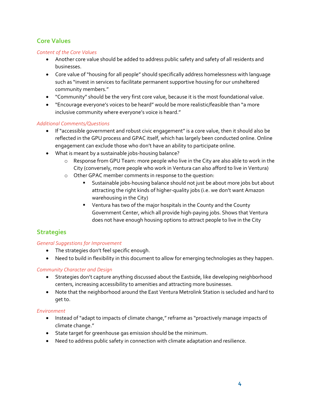### **Core Values**

#### *Content of the Core Values*

- Another core value should be added to address public safety and safety of all residents and businesses.
- Core value of "housing for all people" should specifically address homelessness with language such as "invest in services to facilitate permanent supportive housing for our unsheltered community members."
- "Community" should be the very first core value, because it is the most foundational value.
- "Encourage everyone's voices to be heard" would be more realistic/feasible than "a more inclusive community where everyone's voice is heard."

#### *Additional Comments/Questions*

- If "accessible government and robust civic engagement" is a core value, then it should also be reflected in the GPU process and GPAC itself, which has largely been conducted online. Online engagement can exclude those who don't have an ability to participate online.
- What is meant by a sustainable jobs-housing balance?
	- o Response from GPU Team: more people who live in the City are also able to work in the City (conversely, more people who work in Ventura can also afford to live in Ventura)
	- o Other GPAC member comments in response to the question:
		- Sustainable jobs-housing balance should not just be about more jobs but about attracting the right kinds of higher-quality jobs (i.e. we don't want Amazon warehousing in the City)
		- **•** Ventura has two of the major hospitals in the County and the County Government Center, which all provide high-paying jobs. Shows that Ventura does not have enough housing options to attract people to live in the City

#### **Strategies**

#### *General Suggestions for Improvement*

- The strategies don't feel specific enough.
- Need to build in flexibility in this document to allow for emerging technologies as they happen.

#### *Community Character and Design*

- Strategies don't capture anything discussed about the Eastside, like developing neighborhood centers, increasing accessibility to amenities and attracting more businesses.
- Note that the neighborhood around the East Ventura Metrolink Station is secluded and hard to get to.

#### *Environment*

- Instead of "adapt to impacts of climate change," reframe as "proactively manage impacts of climate change."
- State target for greenhouse gas emission should be the minimum.
- Need to address public safety in connection with climate adaptation and resilience.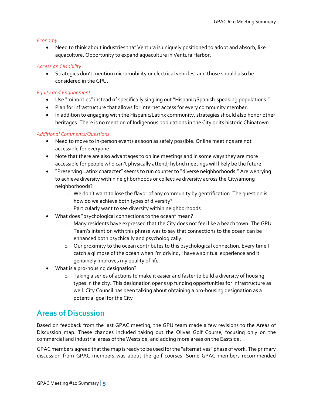#### *Economy*

• Need to think about industries that Ventura is uniquely positioned to adopt and absorb, like aquaculture. Opportunity to expand aquaculture in Ventura Harbor.

#### *Access and Mobility*

• Strategies don't mention micromobility or electrical vehicles, and those should also be considered in the GPU.

#### *Equity and Engagement*

- Use "minorities" instead of specifically singling out "Hispanic/Spanish-speaking populations."
- Plan for infrastructure that allows for internet access for every community member.
- In addition to engaging with the Hispanic/Latinx community, strategies should also honor other heritages. There is no mention of Indigenous populations in the City or its historic Chinatown.

#### *Additional Comments/Questions*

- Need to move to in-person events as soon as safely possible. Online meetings are not accessible for everyone.
- Note that there are also advantages to online meetings and in some ways they are more accessible for people who can't physically attend; hybrid meetings will likely be the future.
- "Preserving Latinx character" seems to run counter to "diverse neighborhoods." Are we trying to achieve diversity within neighborhoods or collective diversity across the City/among neighborhoods?
	- o We don't want to lose the flavor of any community by gentrification. The question is how do we achieve both types of diversity?
	- o Particularly want to see diversity within neighborhoods
- What does "psychological connections to the ocean" mean?
	- o Many residents have expressed that the City does not feel like a beach town. The GPU Team's intention with this phrase was to say that connections to the ocean can be enhanced both psychically and psychologically.
	- o Our proximity to the ocean contributes to this psychological connection. Every time I catch a glimpse of the ocean when I'm driving, I have a spiritual experience and it genuinely improves my quality of life
- What is a pro-housing designation?
	- o Taking a series of actions to make it easier and faster to build a diversity of housing types in the city. This designation opens up funding opportunities for infrastructure as well. City Council has been talking about obtaining a pro-housing designation as a potential goal for the City

### **Areas of Discussion**

Based on feedback from the last GPAC meeting, the GPU team made a few revisions to the Areas of Discussion map. These changes included taking out the Olivas Golf Course, focusing only on the commercial and industrial areas of the Westside, and adding more areas on the Eastside.

GPAC members agreed that the map is ready to be used for the "alternatives" phase of work. The primary discussion from GPAC members was about the golf courses. Some GPAC members recommended